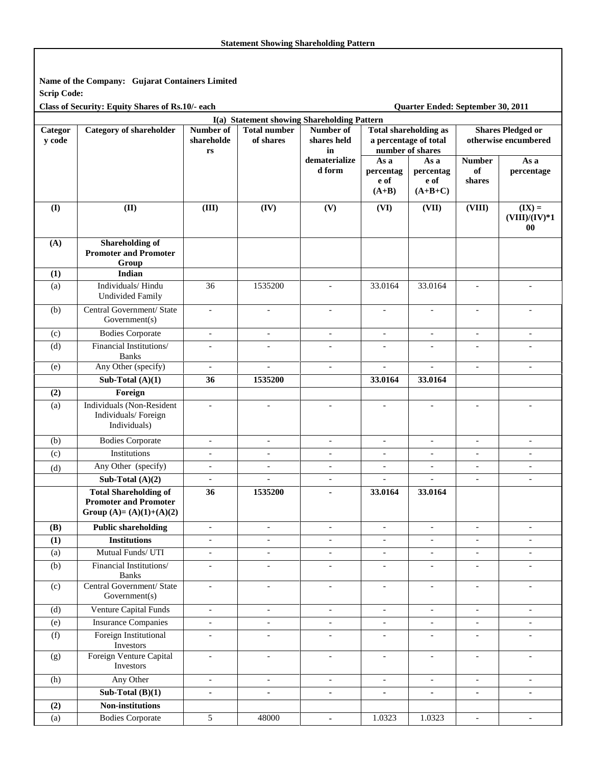**Name of the Company: Gujarat Containers Limited Scrip Code:** 

Class of Security: Equity Shares of Rs.10/- each Quarter Ended: September 30, 2011

| I(a) Statement showing Shareholding Pattern |                                                                                           |                                                   |                                  |                                |                                                                           |                                        |                               |                                                  |
|---------------------------------------------|-------------------------------------------------------------------------------------------|---------------------------------------------------|----------------------------------|--------------------------------|---------------------------------------------------------------------------|----------------------------------------|-------------------------------|--------------------------------------------------|
| Categor<br>y code                           | <b>Category of shareholder</b>                                                            | Number of<br>shareholde<br>$\mathbf{r}\mathbf{s}$ | <b>Total number</b><br>of shares | Number of<br>shares held<br>in | <b>Total shareholding as</b><br>a percentage of total<br>number of shares |                                        |                               | <b>Shares Pledged or</b><br>otherwise encumbered |
|                                             |                                                                                           |                                                   |                                  | dematerialize<br>d form        | As a<br>percentag<br>e of<br>$(A+B)$                                      | As a<br>percentag<br>e of<br>$(A+B+C)$ | <b>Number</b><br>of<br>shares | As a<br>percentage                               |
| (I)                                         | (II)                                                                                      | (III)                                             | (IV)                             | (V)                            | (VI)                                                                      | (VII)                                  | (VIII)                        | $(IX) =$<br>$(VIII)/(IV)*1$<br>00                |
| (A)                                         | <b>Shareholding of</b><br><b>Promoter and Promoter</b><br>Group                           |                                                   |                                  |                                |                                                                           |                                        |                               |                                                  |
| (1)                                         | Indian                                                                                    |                                                   |                                  |                                |                                                                           |                                        |                               |                                                  |
| (a)                                         | Individuals/Hindu<br><b>Undivided Family</b>                                              | 36                                                | 1535200                          | $\overline{\phantom{a}}$       | 33.0164                                                                   | 33.0164                                |                               |                                                  |
| (b)                                         | Central Government/ State<br>Government(s)                                                | $\blacksquare$                                    | $\overline{\phantom{a}}$         | $\overline{\phantom{a}}$       | $\overline{a}$                                                            | $\blacksquare$                         | $\overline{\phantom{a}}$      | $\overline{\phantom{a}}$                         |
| (c)                                         | <b>Bodies Corporate</b>                                                                   | $\overline{\phantom{a}}$                          | $\overline{\phantom{a}}$         | $\blacksquare$                 | $\overline{\phantom{a}}$                                                  | $\overline{\phantom{a}}$               | $\overline{\phantom{a}}$      | $\overline{\phantom{a}}$                         |
| (d)                                         | Financial Institutions/<br><b>Banks</b>                                                   | $\overline{\phantom{a}}$                          | $\equiv$                         | $\overline{\phantom{a}}$       | $\overline{a}$                                                            | $\overline{\phantom{a}}$               | $\overline{\phantom{a}}$      | $\overline{\phantom{a}}$                         |
| (e)                                         | Any Other (specify)                                                                       | $\overline{\phantom{a}}$                          |                                  | $\overline{\phantom{a}}$       | $\overline{a}$                                                            | $\overline{\phantom{0}}$               | $\overline{\phantom{a}}$      | $\overline{\phantom{a}}$                         |
|                                             | Sub-Total $(A)(1)$                                                                        | 36                                                | 1535200                          |                                | 33.0164                                                                   | 33.0164                                |                               |                                                  |
| (2)                                         | Foreign                                                                                   |                                                   |                                  |                                |                                                                           |                                        |                               |                                                  |
| (a)                                         | Individuals (Non-Resident<br>Individuals/Foreign<br>Individuals)                          | $\overline{\phantom{a}}$                          | $\overline{a}$                   |                                |                                                                           |                                        |                               |                                                  |
| (b)                                         | <b>Bodies Corporate</b>                                                                   | $\blacksquare$                                    | $\overline{a}$                   | $\overline{a}$                 |                                                                           | $\overline{a}$                         | $\overline{a}$                | $\overline{\phantom{a}}$                         |
| (c)                                         | Institutions                                                                              | $\overline{\phantom{a}}$                          | $\overline{\phantom{a}}$         | $\blacksquare$                 | $\overline{\phantom{a}}$                                                  | $\overline{\phantom{0}}$               | $\blacksquare$                | $\overline{\phantom{a}}$                         |
| (d)                                         | Any Other (specify)                                                                       | $\overline{\phantom{a}}$                          | $\overline{\phantom{a}}$         | $\overline{\phantom{a}}$       | $\overline{a}$                                                            | $\overline{\phantom{a}}$               | $\overline{\phantom{a}}$      | $\overline{\phantom{a}}$                         |
|                                             | Sub-Total $(A)(2)$                                                                        | $\blacksquare$                                    | $\blacksquare$                   | $\overline{\phantom{a}}$       | $\overline{a}$                                                            | $\overline{a}$                         | $\overline{\phantom{a}}$      | $\overline{a}$                                   |
|                                             | <b>Total Shareholding of</b><br><b>Promoter and Promoter</b><br>Group $(A)=(A)(1)+(A)(2)$ | 36                                                | 1535200                          |                                | 33.0164                                                                   | 33.0164                                |                               |                                                  |
| (B)                                         | <b>Public shareholding</b>                                                                | $\overline{\phantom{a}}$                          | $\overline{\phantom{a}}$         | $\overline{\phantom{a}}$       | $\overline{a}$                                                            | $\overline{\phantom{a}}$               | $\overline{\phantom{a}}$      | $\overline{\phantom{a}}$                         |
| (1)                                         | <b>Institutions</b>                                                                       | $\overline{\phantom{a}}$                          | $\overline{a}$                   |                                | $\overline{a}$                                                            |                                        | $\overline{\phantom{a}}$      |                                                  |
| (a)                                         | Mutual Funds/ UTI                                                                         | $\overline{\phantom{a}}$                          | $\overline{a}$                   | $\overline{\phantom{a}}$       | $\overline{\phantom{a}}$                                                  | $\overline{\phantom{a}}$               | $\overline{\phantom{a}}$      | $\overline{\phantom{a}}$                         |
| (b)                                         | Financial Institutions/<br><b>Banks</b>                                                   | $\overline{\phantom{a}}$                          | $\overline{a}$                   | $\overline{a}$                 | $\overline{a}$                                                            | $\overline{a}$                         |                               |                                                  |
| (c)                                         | Central Government/ State<br>Government(s)                                                | $\overline{\phantom{a}}$                          | $\blacksquare$                   | $\overline{\phantom{a}}$       | $\overline{\phantom{a}}$                                                  | $\overline{\phantom{a}}$               | $\qquad \qquad -$             | $\overline{\phantom{a}}$                         |
| (d)                                         | Venture Capital Funds                                                                     | $\overline{\phantom{a}}$                          | $\overline{\phantom{a}}$         | $\overline{\phantom{a}}$       | $\overline{\phantom{a}}$                                                  | $\overline{\phantom{a}}$               | $\overline{\phantom{a}}$      | $\overline{\phantom{a}}$                         |
| (e)                                         | <b>Insurance Companies</b>                                                                | $\overline{\phantom{a}}$                          | $\overline{\phantom{a}}$         | $\overline{\phantom{a}}$       | $\overline{\phantom{a}}$                                                  | $\overline{\phantom{a}}$               | $\overline{\phantom{a}}$      | $\overline{\phantom{a}}$                         |
| (f)                                         | Foreign Institutional<br>Investors                                                        | $\overline{\phantom{a}}$                          | $\overline{\phantom{a}}$         | $\overline{\phantom{a}}$       | $\overline{\phantom{a}}$                                                  | $\overline{\phantom{a}}$               | $\overline{\phantom{a}}$      | $\overline{\phantom{0}}$                         |
| (g)                                         | Foreign Venture Capital<br>Investors                                                      | $\overline{\phantom{a}}$                          | $\overline{\phantom{a}}$         | $\overline{\phantom{a}}$       | $\overline{\phantom{a}}$                                                  | $\overline{\phantom{a}}$               | $\qquad \qquad -$             | $\overline{\phantom{a}}$                         |
| (h)                                         | Any Other                                                                                 | $\overline{\phantom{a}}$                          | $\overline{\phantom{a}}$         | $\overline{\phantom{a}}$       | $\overline{\phantom{a}}$                                                  | $\overline{\phantom{a}}$               | $\overline{\phantom{a}}$      | $\blacksquare$                                   |
|                                             | Sub-Total $(B)(1)$                                                                        | $\blacksquare$                                    | $\blacksquare$                   | $\blacksquare$                 | $\blacksquare$                                                            | $\blacksquare$                         | $\blacksquare$                | ٠                                                |
| (2)                                         | Non-institutions                                                                          |                                                   |                                  |                                |                                                                           |                                        |                               |                                                  |
| (a)                                         | <b>Bodies Corporate</b>                                                                   | 5                                                 | 48000                            |                                | 1.0323                                                                    | 1.0323                                 | $\overline{\phantom{a}}$      | $\overline{\phantom{a}}$                         |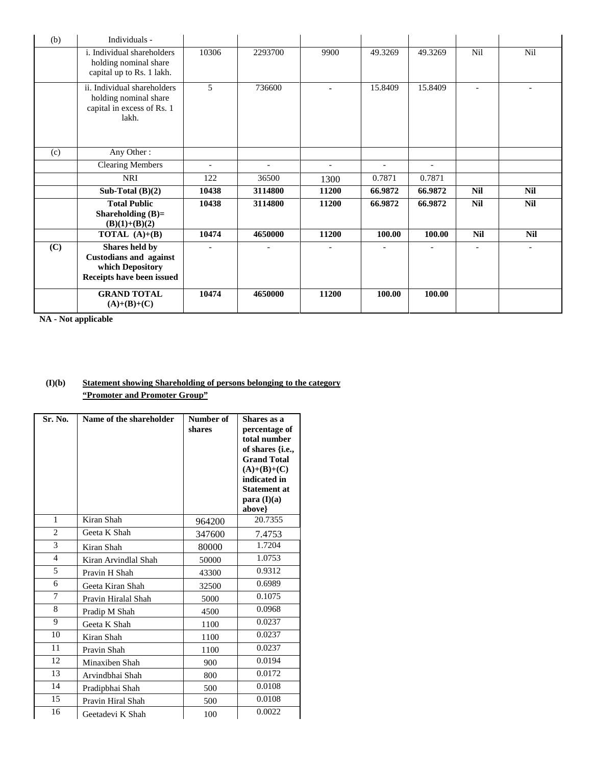| (b) | Individuals -                                                                                    |                |         |                          |                          |         |                          |            |
|-----|--------------------------------------------------------------------------------------------------|----------------|---------|--------------------------|--------------------------|---------|--------------------------|------------|
|     | i. Individual shareholders<br>holding nominal share<br>capital up to Rs. 1 lakh.                 | 10306          | 2293700 | 9900                     | 49.3269                  | 49.3269 | Nil                      | Nil        |
|     | ii. Individual shareholders<br>holding nominal share<br>capital in excess of Rs. 1<br>lakh.      | 5              | 736600  | ۰.                       | 15.8409                  | 15.8409 | $\overline{\phantom{a}}$ |            |
| (c) | Any Other:                                                                                       |                |         |                          |                          |         |                          |            |
|     | <b>Clearing Members</b>                                                                          | $\overline{a}$ |         | $\overline{\phantom{0}}$ | $\overline{\phantom{a}}$ |         |                          |            |
|     | <b>NRI</b>                                                                                       | 122            | 36500   | 1300                     | 0.7871                   | 0.7871  |                          |            |
|     | Sub-Total $(B)(2)$                                                                               | 10438          | 3114800 | 11200                    | 66.9872                  | 66.9872 | <b>Nil</b>               | <b>Nil</b> |
|     | <b>Total Public</b><br>Shareholding $(B)=$<br>$(B)(1)+(B)(2)$                                    | 10438          | 3114800 | 11200                    | 66.9872                  | 66.9872 | <b>Nil</b>               | <b>Nil</b> |
|     | <b>TOTAL</b> $(A)+(B)$                                                                           | 10474          | 4650000 | 11200                    | 100.00                   | 100.00  | <b>Nil</b>               | <b>Nil</b> |
| (C) | Shares held by<br><b>Custodians and against</b><br>which Depository<br>Receipts have been issued |                |         |                          |                          |         |                          |            |
|     | <b>GRAND TOTAL</b><br>$(A)+(B)+(C)$                                                              | 10474          | 4650000 | 11200                    | 100.00                   | 100.00  |                          |            |

**NA - Not applicable** 

## **(I)(b) Statement showing Shareholding of persons belonging to the category "Promoter and Promoter Group"**

| Sr. No.        | Name of the shareholder | Number of<br>shares | Shares as a<br>percentage of<br>total number<br>of shares {i.e.,<br><b>Grand Total</b><br>$(A)+(B)+(C)$<br>indicated in<br><b>Statement at</b><br>para $(I)(a)$<br>above} |
|----------------|-------------------------|---------------------|---------------------------------------------------------------------------------------------------------------------------------------------------------------------------|
| 1              | Kiran Shah              | 964200              | 20.7355                                                                                                                                                                   |
| $\overline{2}$ | Geeta K Shah            | 347600              | 7.4753                                                                                                                                                                    |
| 3              | Kiran Shah              | 80000               | 1.7204                                                                                                                                                                    |
| $\overline{4}$ | Kiran Arvindlal Shah    | 50000               | 1.0753                                                                                                                                                                    |
| 5              | Pravin H Shah           | 43300               | 0.9312                                                                                                                                                                    |
| 6              | Geeta Kiran Shah        | 32500               | 0.6989                                                                                                                                                                    |
| 7              | Pravin Hiralal Shah     | 5000                | 0.1075                                                                                                                                                                    |
| 8              | Pradip M Shah           | 4500                | 0.0968                                                                                                                                                                    |
| 9              | Geeta K Shah            | 1100                | 0.0237                                                                                                                                                                    |
| 10             | Kiran Shah              | 1100                | 0.0237                                                                                                                                                                    |
| 11             | Pravin Shah             | 1100                | 0.0237                                                                                                                                                                    |
| 12             | Minaxiben Shah          | 900                 | 0.0194                                                                                                                                                                    |
| 13             | Arvindbhai Shah         | 800                 | 0.0172                                                                                                                                                                    |
| 14             | Pradipbhai Shah         | 500                 | 0.0108                                                                                                                                                                    |
| 15             | Pravin Hiral Shah       | 500                 | 0.0108                                                                                                                                                                    |
| 16             | Geetadevi K Shah        | 100                 | 0.0022                                                                                                                                                                    |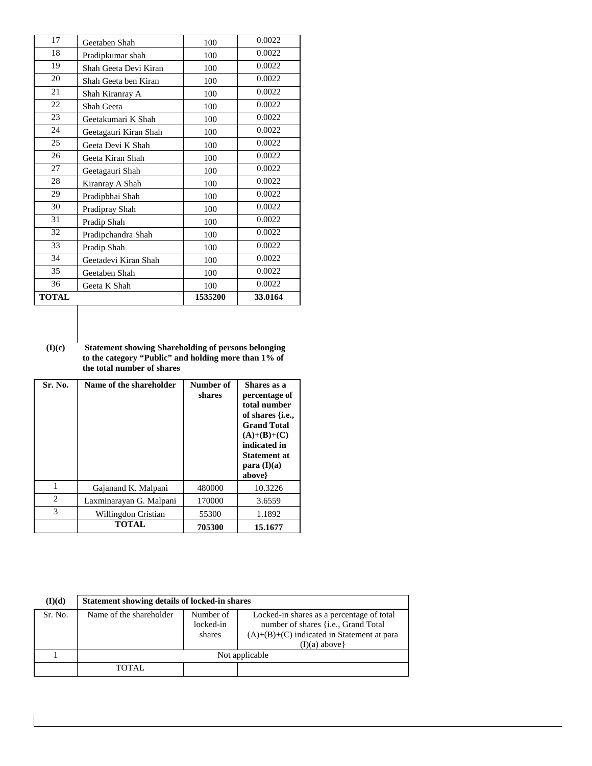| 17           | Geetaben Shah         | 100     | 0.0022  |
|--------------|-----------------------|---------|---------|
| 18           | Pradipkumar shah      | 100     | 0.0022  |
| 19           | Shah Geeta Devi Kiran | 100     | 0.0022  |
| 20           | Shah Geeta ben Kiran  | 100     | 0.0022  |
| 21           | Shah Kiranray A       | 100     | 0.0022  |
| 22           | Shah Geeta            | 100     | 0.0022  |
| 23           | Geetakumari K Shah    | 100     | 0.0022  |
| 24           | Geetagauri Kiran Shah | 100     | 0.0022  |
| 25           | Geeta Devi K Shah     | 100     | 0.0022  |
| 26           | Geeta Kiran Shah      | 100     | 0.0022  |
| 27           | Geetagauri Shah       | 100     | 0.0022  |
| 28           | Kiranray A Shah       | 100     | 0.0022  |
| 29           | Pradipbhai Shah       | 100     | 0.0022  |
| 30           | Pradipray Shah        | 100     | 0.0022  |
| 31           | Pradip Shah           | 100     | 0.0022  |
| 32           | Pradipchandra Shah    | 100     | 0.0022  |
| 33           | Pradip Shah           | 100     | 0.0022  |
| 34           | Geetadevi Kiran Shah  | 100     | 0.0022  |
| 35           | Geetaben Shah         | 100     | 0.0022  |
| 36           | Geeta K Shah          | 100     | 0.0022  |
| <b>TOTAL</b> |                       | 1535200 | 33.0164 |

**(I)(c) Statement showing Shareholding of persons belonging to the category "Public" and holding more than 1% of the total number of shares** 

| Sr. No.        | Name of the shareholder | Number of<br>shares | Shares as a<br>percentage of<br>total number<br>of shares { <i>i.e.</i> ,<br><b>Grand Total</b><br>$(A)+(B)+(C)$<br>indicated in<br><b>Statement at</b><br>para $(I)(a)$<br>above} |
|----------------|-------------------------|---------------------|------------------------------------------------------------------------------------------------------------------------------------------------------------------------------------|
| 1              | Gajanand K. Malpani     | 480000              | 10.3226                                                                                                                                                                            |
| $\overline{c}$ | Laxminarayan G. Malpani | 170000              | 3.6559                                                                                                                                                                             |
| 3              | Willingdon Cristian     | 55300               | 1.1892                                                                                                                                                                             |
|                | <b>TOTAL</b>            | 705300              | 15.1677                                                                                                                                                                            |

| (I)(d)  | Statement showing details of locked-in shares |                                  |                                                                                                                                                      |  |  |
|---------|-----------------------------------------------|----------------------------------|------------------------------------------------------------------------------------------------------------------------------------------------------|--|--|
| Sr. No. | Name of the shareholder                       | Number of<br>locked-in<br>shares | Locked-in shares as a percentage of total<br>number of shares {i.e., Grand Total<br>$(A)+(B)+(C)$ indicated in Statement at para<br>$(I)(a)$ above } |  |  |
|         | Not applicable                                |                                  |                                                                                                                                                      |  |  |
|         | <b>TOTAL</b>                                  |                                  |                                                                                                                                                      |  |  |